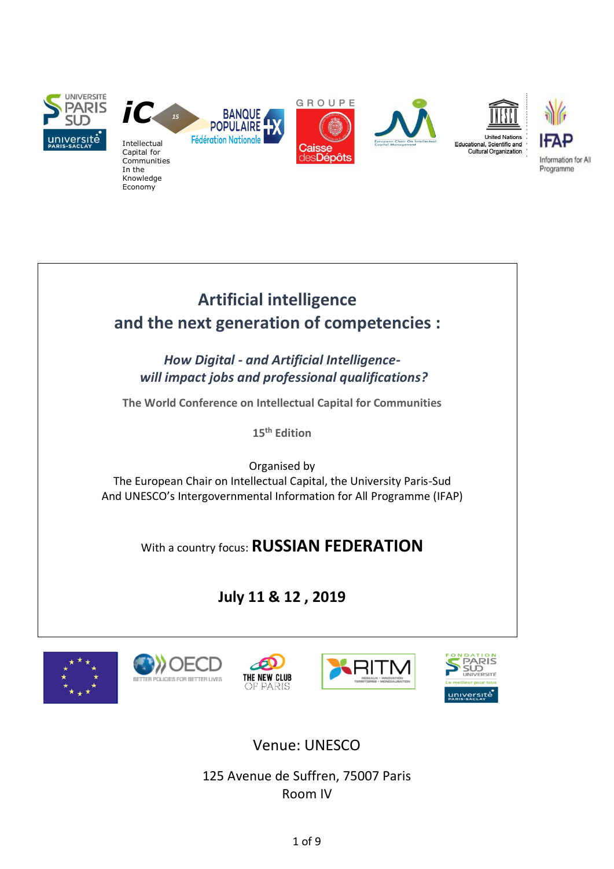

# **Artificial intelligence and the next generation of competencies :**

*How Digital - and Artificial Intelligencewill impact jobs and professional qualifications?*

**The World Conference on Intellectual Capital for Communities**

**15 th Edition**

Organised by The European Chair on Intellectual Capital, the University Paris-Sud And UNESCO's Intergovernmental Information for All Programme (IFAP)

# With a country focus: **RUSSIAN FEDERATION**

# **July 11 & 12 , 2019**











# Venue: UNESCO

125 Avenue de Suffren, 75007 Paris Room IV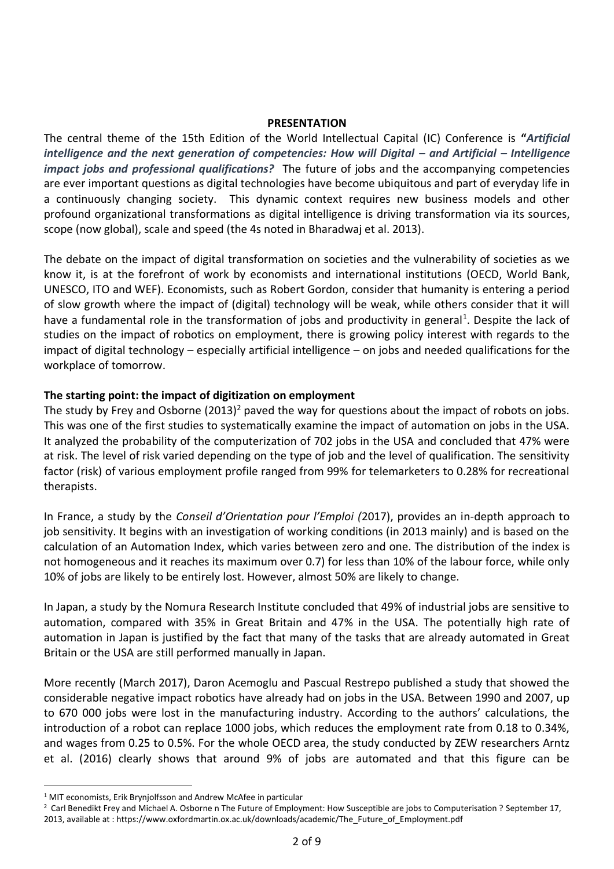#### **PRESENTATION**

The central theme of the 15th Edition of the World Intellectual Capital (IC) Conference is **"***Artificial intelligence and the next generation of competencies: How will Digital – and Artificial – Intelligence impact jobs and professional qualifications?* The future of jobs and the accompanying competencies are ever important questions as digital technologies have become ubiquitous and part of everyday life in a continuously changing society. This dynamic context requires new business models and other profound organizational transformations as digital intelligence is driving transformation via its sources, scope (now global), scale and speed (the 4s noted in Bharadwaj et al. 2013).

The debate on the impact of digital transformation on societies and the vulnerability of societies as we know it, is at the forefront of work by economists and international institutions (OECD, World Bank, UNESCO, ITO and WEF). Economists, such as Robert Gordon, consider that humanity is entering a period of slow growth where the impact of (digital) technology will be weak, while others consider that it will have a fundamental role in the transformation of jobs and productivity in general<sup>1</sup>. Despite the lack of studies on the impact of robotics on employment, there is growing policy interest with regards to the impact of digital technology – especially artificial intelligence – on jobs and needed qualifications for the workplace of tomorrow.

#### **The starting point: the impact of digitization on employment**

The study by Frey and Osborne (2013)<sup>2</sup> paved the way for questions about the impact of robots on jobs. This was one of the first studies to systematically examine the impact of automation on jobs in the USA. It analyzed the probability of the computerization of 702 jobs in the USA and concluded that 47% were at risk. The level of risk varied depending on the type of job and the level of qualification. The sensitivity factor (risk) of various employment profile ranged from 99% for telemarketers to 0.28% for recreational therapists.

In France, a study by the *Conseil d'Orientation pour l'Emploi (*2017), provides an in-depth approach to job sensitivity. It begins with an investigation of working conditions (in 2013 mainly) and is based on the calculation of an Automation Index, which varies between zero and one. The distribution of the index is not homogeneous and it reaches its maximum over 0.7) for less than 10% of the labour force, while only 10% of jobs are likely to be entirely lost. However, almost 50% are likely to change.

In Japan, a study by the Nomura Research Institute concluded that 49% of industrial jobs are sensitive to automation, compared with 35% in Great Britain and 47% in the USA. The potentially high rate of automation in Japan is justified by the fact that many of the tasks that are already automated in Great Britain or the USA are still performed manually in Japan.

More recently (March 2017), Daron Acemoglu and Pascual Restrepo published a study that showed the considerable negative impact robotics have already had on jobs in the USA. Between 1990 and 2007, up to 670 000 jobs were lost in the manufacturing industry. According to the authors' calculations, the introduction of a robot can replace 1000 jobs, which reduces the employment rate from 0.18 to 0.34%, and wages from 0.25 to 0.5%. For the whole OECD area, the study conducted by ZEW researchers Arntz et al. (2016) clearly shows that around 9% of jobs are automated and that this figure can be

 $\overline{a}$ 

<sup>&</sup>lt;sup>1</sup> MIT economists, Erik Brynjolfsson and Andrew McAfee in particular

<sup>&</sup>lt;sup>2</sup> Carl Benedikt Frey and Michael A. Osborne n The Future of Employment: How Susceptible are jobs to Computerisation ? September 17, 2013, available at : https://www.oxfordmartin.ox.ac.uk/downloads/academic/The\_Future\_of\_Employment.pdf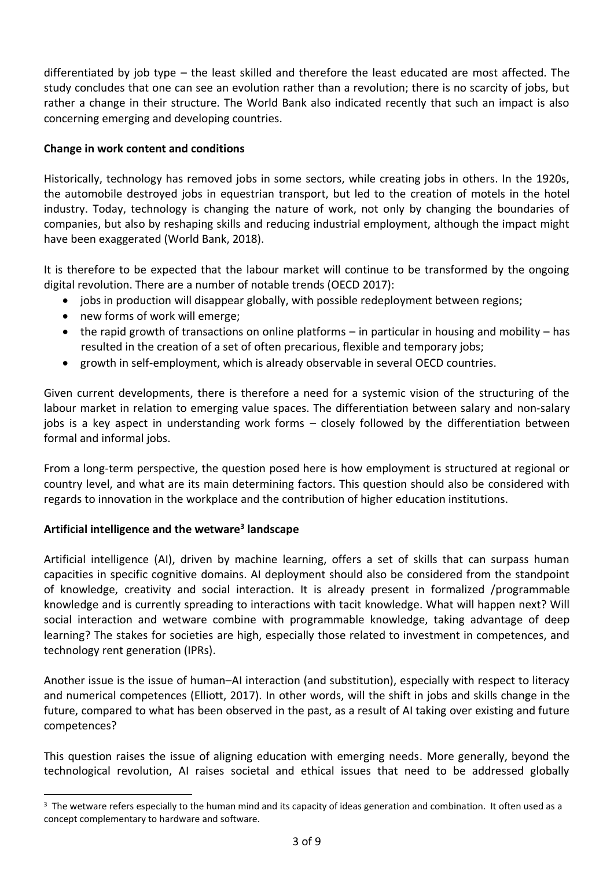differentiated by job type – the least skilled and therefore the least educated are most affected. The study concludes that one can see an evolution rather than a revolution; there is no scarcity of jobs, but rather a change in their structure. The World Bank also indicated recently that such an impact is also concerning emerging and developing countries.

## **Change in work content and conditions**

Historically, technology has removed jobs in some sectors, while creating jobs in others. In the 1920s, the automobile destroyed jobs in equestrian transport, but led to the creation of motels in the hotel industry. Today, technology is changing the nature of work, not only by changing the boundaries of companies, but also by reshaping skills and reducing industrial employment, although the impact might have been exaggerated (World Bank, 2018).

It is therefore to be expected that the labour market will continue to be transformed by the ongoing digital revolution. There are a number of notable trends (OECD 2017):

- jobs in production will disappear globally, with possible redeployment between regions;
- new forms of work will emerge;
- the rapid growth of transactions on online platforms in particular in housing and mobility has resulted in the creation of a set of often precarious, flexible and temporary jobs;
- growth in self-employment, which is already observable in several OECD countries.

Given current developments, there is therefore a need for a systemic vision of the structuring of the labour market in relation to emerging value spaces. The differentiation between salary and non-salary jobs is a key aspect in understanding work forms – closely followed by the differentiation between formal and informal jobs.

From a long-term perspective, the question posed here is how employment is structured at regional or country level, and what are its main determining factors. This question should also be considered with regards to innovation in the workplace and the contribution of higher education institutions.

# **Artificial intelligence and the wetware<sup>3</sup> landscape**

 $\overline{a}$ 

Artificial intelligence (AI), driven by machine learning, offers a set of skills that can surpass human capacities in specific cognitive domains. AI deployment should also be considered from the standpoint of knowledge, creativity and social interaction. It is already present in formalized /programmable knowledge and is currently spreading to interactions with tacit knowledge. What will happen next? Will social interaction and wetware combine with programmable knowledge, taking advantage of deep learning? The stakes for societies are high, especially those related to investment in competences, and technology rent generation (IPRs).

Another issue is the issue of human–AI interaction (and substitution), especially with respect to literacy and numerical competences (Elliott, 2017). In other words, will the shift in jobs and skills change in the future, compared to what has been observed in the past, as a result of AI taking over existing and future competences?

This question raises the issue of aligning education with emerging needs. More generally, beyond the technological revolution, AI raises societal and ethical issues that need to be addressed globally

 $3$  The wetware refers especially to the human mind and its capacity of ideas generation and combination. It often used as a concept complementary to hardware and software.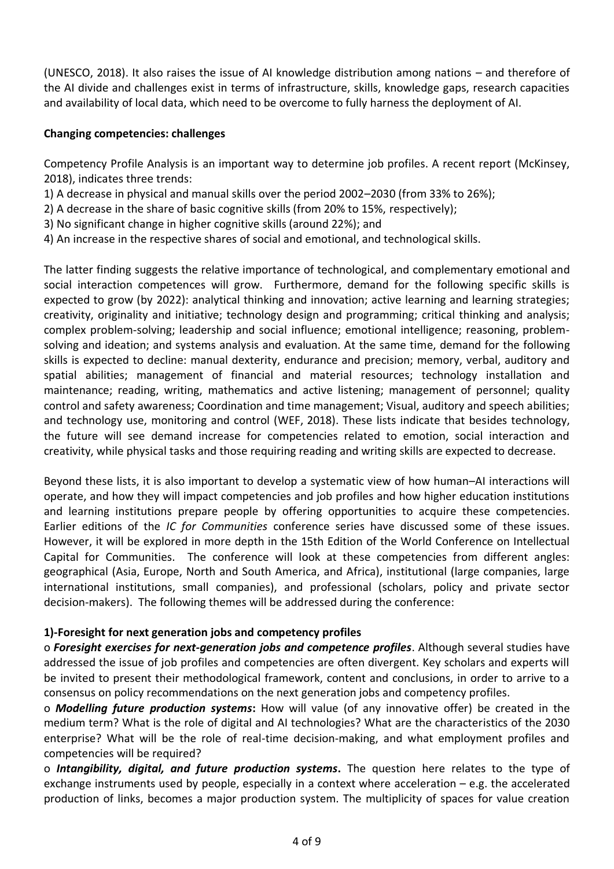(UNESCO, 2018). It also raises the issue of AI knowledge distribution among nations – and therefore of the AI divide and challenges exist in terms of infrastructure, skills, knowledge gaps, research capacities and availability of local data, which need to be overcome to fully harness the deployment of AI.

#### **Changing competencies: challenges**

Competency Profile Analysis is an important way to determine job profiles. A recent report (McKinsey, 2018), indicates three trends:

- 1) A decrease in physical and manual skills over the period 2002–2030 (from 33% to 26%);
- 2) A decrease in the share of basic cognitive skills (from 20% to 15%, respectively);
- 3) No significant change in higher cognitive skills (around 22%); and
- 4) An increase in the respective shares of social and emotional, and technological skills.

The latter finding suggests the relative importance of technological, and complementary emotional and social interaction competences will grow. Furthermore, demand for the following specific skills is expected to grow (by 2022): analytical thinking and innovation; active learning and learning strategies; creativity, originality and initiative; technology design and programming; critical thinking and analysis; complex problem-solving; leadership and social influence; emotional intelligence; reasoning, problemsolving and ideation; and systems analysis and evaluation. At the same time, demand for the following skills is expected to decline: manual dexterity, endurance and precision; memory, verbal, auditory and spatial abilities; management of financial and material resources; technology installation and maintenance; reading, writing, mathematics and active listening; management of personnel; quality control and safety awareness; Coordination and time management; Visual, auditory and speech abilities; and technology use, monitoring and control (WEF, 2018). These lists indicate that besides technology, the future will see demand increase for competencies related to emotion, social interaction and creativity, while physical tasks and those requiring reading and writing skills are expected to decrease.

Beyond these lists, it is also important to develop a systematic view of how human–AI interactions will operate, and how they will impact competencies and job profiles and how higher education institutions and learning institutions prepare people by offering opportunities to acquire these competencies. Earlier editions of the *IC for Communities* conference series have discussed some of these issues. However, it will be explored in more depth in the 15th Edition of the World Conference on Intellectual Capital for Communities. The conference will look at these competencies from different angles: geographical (Asia, Europe, North and South America, and Africa), institutional (large companies, large international institutions, small companies), and professional (scholars, policy and private sector decision-makers). The following themes will be addressed during the conference:

#### **1)-Foresight for next generation jobs and competency profiles**

o *Foresight exercises for next-generation jobs and competence profiles*. Although several studies have addressed the issue of job profiles and competencies are often divergent. Key scholars and experts will be invited to present their methodological framework, content and conclusions, in order to arrive to a consensus on policy recommendations on the next generation jobs and competency profiles.

o *Modelling future production systems***:** How will value (of any innovative offer) be created in the medium term? What is the role of digital and AI technologies? What are the characteristics of the 2030 enterprise? What will be the role of real-time decision-making, and what employment profiles and competencies will be required?

o *Intangibility, digital, and future production systems***.** The question here relates to the type of exchange instruments used by people, especially in a context where acceleration – e.g. the accelerated production of links, becomes a major production system. The multiplicity of spaces for value creation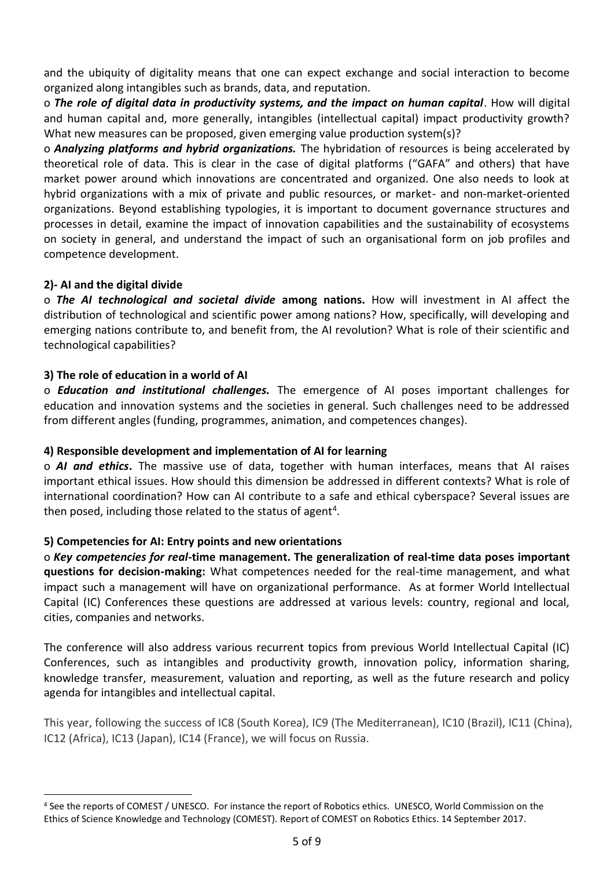and the ubiquity of digitality means that one can expect exchange and social interaction to become organized along intangibles such as brands, data, and reputation.

o *The role of digital data in productivity systems, and the impact on human capital*. How will digital and human capital and, more generally, intangibles (intellectual capital) impact productivity growth? What new measures can be proposed, given emerging value production system(s)?

o *Analyzing platforms and hybrid organizations.* The hybridation of resources is being accelerated by theoretical role of data. This is clear in the case of digital platforms ("GAFA" and others) that have market power around which innovations are concentrated and organized. One also needs to look at hybrid organizations with a mix of private and public resources, or market- and non-market-oriented organizations. Beyond establishing typologies, it is important to document governance structures and processes in detail, examine the impact of innovation capabilities and the sustainability of ecosystems on society in general, and understand the impact of such an organisational form on job profiles and competence development.

### **2)- AI and the digital divide**

 $\overline{a}$ 

o *The AI technological and societal divide* **among nations.** How will investment in AI affect the distribution of technological and scientific power among nations? How, specifically, will developing and emerging nations contribute to, and benefit from, the AI revolution? What is role of their scientific and technological capabilities?

#### **3) The role of education in a world of AI**

o *Education and institutional challenges.* The emergence of AI poses important challenges for education and innovation systems and the societies in general. Such challenges need to be addressed from different angles (funding, programmes, animation, and competences changes).

#### **4) Responsible development and implementation of AI for learning**

o *AI and ethics***.** The massive use of data, together with human interfaces, means that AI raises important ethical issues. How should this dimension be addressed in different contexts? What is role of international coordination? How can AI contribute to a safe and ethical cyberspace? Several issues are then posed, including those related to the status of agent<sup>4</sup>.

### **5) Competencies for AI: Entry points and new orientations**

o *Key competencies for real***-time management. The generalization of real-time data poses important questions for decision-making:** What competences needed for the real-time management, and what impact such a management will have on organizational performance. As at former World Intellectual Capital (IC) Conferences these questions are addressed at various levels: country, regional and local, cities, companies and networks.

The conference will also address various recurrent topics from previous World Intellectual Capital (IC) Conferences, such as intangibles and productivity growth, innovation policy, information sharing, knowledge transfer, measurement, valuation and reporting, as well as the future research and policy agenda for intangibles and intellectual capital.

This year, following the success of IC8 (South Korea), IC9 (The Mediterranean), IC10 (Brazil), IC11 (China), IC12 (Africa), IC13 (Japan), IC14 (France), we will focus on Russia.

<sup>4</sup> See the reports of COMEST / UNESCO. For instance the report of Robotics ethics. UNESCO, World Commission on the Ethics of Science Knowledge and Technology (COMEST). Report of COMEST on Robotics Ethics. 14 September 2017.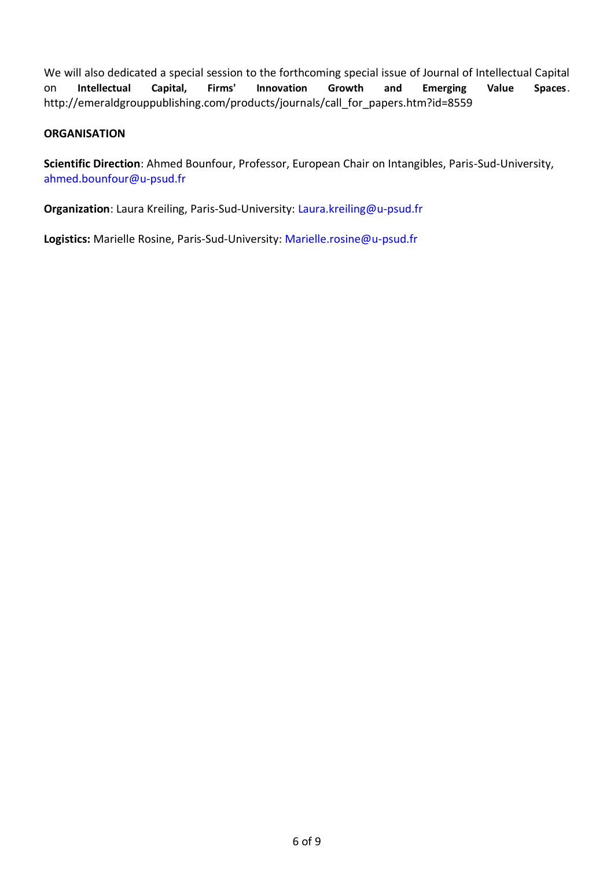We will also dedicated a special session to the forthcoming special issue of Journal of Intellectual Capital on **Intellectual Capital, Firms' Innovation Growth and Emerging Value Spaces**. http://emeraldgrouppublishing.com/products/journals/call\_for\_papers.htm?id=8559

#### **ORGANISATION**

**Scientific Direction**: Ahmed Bounfour, Professor, European Chair on Intangibles, Paris-Sud-University, ahmed.bounfour@u-psud.fr

**Organization**: Laura Kreiling, Paris-Sud-University: Laura.kreiling@u-psud.fr

**Logistics:** Marielle Rosine, Paris-Sud-University: Marielle.rosine@u-psud.fr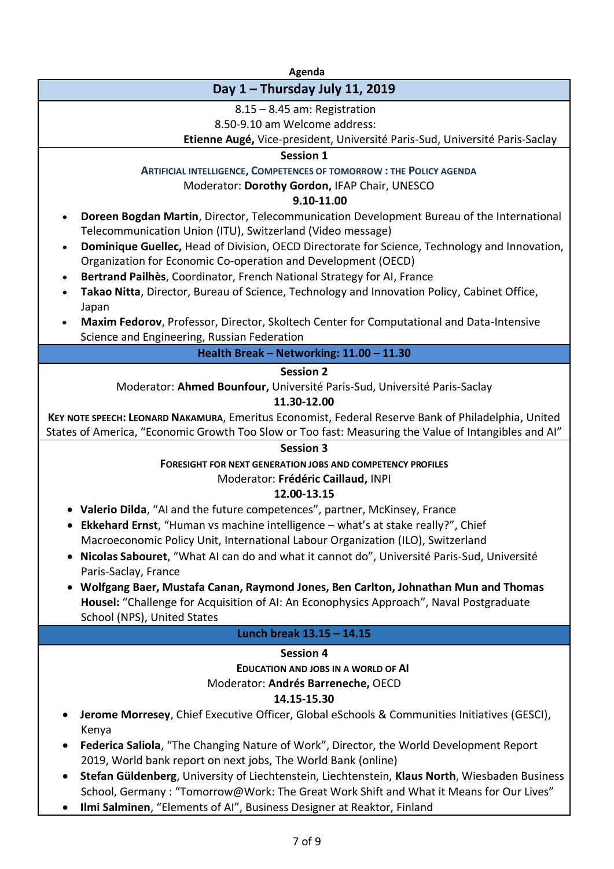**Agenda**

# **Day 1 – Thursday July 11, 2019**

8.15 – 8.45 am: Registration

8.50-9.10 am Welcome address:

# **Etienne Augé,** Vice-president, Université Paris-Sud, Université Paris-Saclay

## **Session 1**

**ARTIFICIAL INTELLIGENCE, COMPETENCES OF TOMORROW : THE POLICY AGENDA**

Moderator: **Dorothy Gordon,** IFAP Chair, UNESCO

## **9.10-11.00**

- **Doreen Bogdan Martin**, Director, Telecommunication Development Bureau of the International Telecommunication Union (ITU), Switzerland (Video message)
- **Dominique Guellec,** Head of Division, OECD Directorate for Science, Technology and Innovation, Organization for Economic Co-operation and Development (OECD)
- **Bertrand Pailhès**, Coordinator, French National Strategy for AI, France
- **Takao Nitta**, Director, Bureau of Science, Technology and Innovation Policy, Cabinet Office, Japan
- **Maxim Fedorov**, Professor, Director, Skoltech Center for Computational and Data-Intensive Science and Engineering, Russian Federation

# **Health Break – Networking: 11.00 – 11.30**

### **Session 2**

Moderator: **Ahmed Bounfour,** Université Paris-Sud, Université Paris-Saclay

# **11.30-12.00**

**KEY NOTE SPEECH: LEONARD NAKAMURA**, Emeritus Economist, Federal Reserve Bank of Philadelphia, United States of America, "Economic Growth Too Slow or Too fast: Measuring the Value of Intangibles and AI"

#### **Session 3**

# **FORESIGHT FOR NEXT GENERATION JOBS AND COMPETENCY PROFILES**

Moderator: **Frédéric Caillaud,** INPI

# **12.00-13.15**

- **Valerio Dilda**, "AI and the future competences", partner, McKinsey, France
- **Ekkehard Ernst**, "Human vs machine intelligence what's at stake really?", Chief Macroeconomic Policy Unit, International Labour Organization (ILO), Switzerland
- **Nicolas Sabouret**, "What AI can do and what it cannot do", Université Paris-Sud, Université Paris-Saclay, France
- **Wolfgang Baer, Mustafa Canan, Raymond Jones, Ben Carlton, Johnathan Mun and Thomas Housel:** "Challenge for Acquisition of AI: An Econophysics Approach", Naval Postgraduate School (NPS), United States

### **Lunch break 13.15 – 14.15**

# **Session 4**

**EDUCATION AND JOBS IN A WORLD OF AI** Moderator: **Andrés Barreneche,** OECD

### **14.15-15.30**

- **Jerome Morresey**, Chief Executive Officer, Global eSchools & Communities Initiatives (GESCI), Kenya
- **Federica Saliola**, "The Changing Nature of Work", Director, the World Development Report 2019, World bank report on next jobs, The World Bank (online)
- **Stefan Güldenberg**, University of Liechtenstein, Liechtenstein, **Klaus North**, Wiesbaden Business School, Germany : "Tomorrow@Work: The Great Work Shift and What it Means for Our Lives"
- **Ilmi Salminen**, "Elements of AI", Business Designer at Reaktor, Finland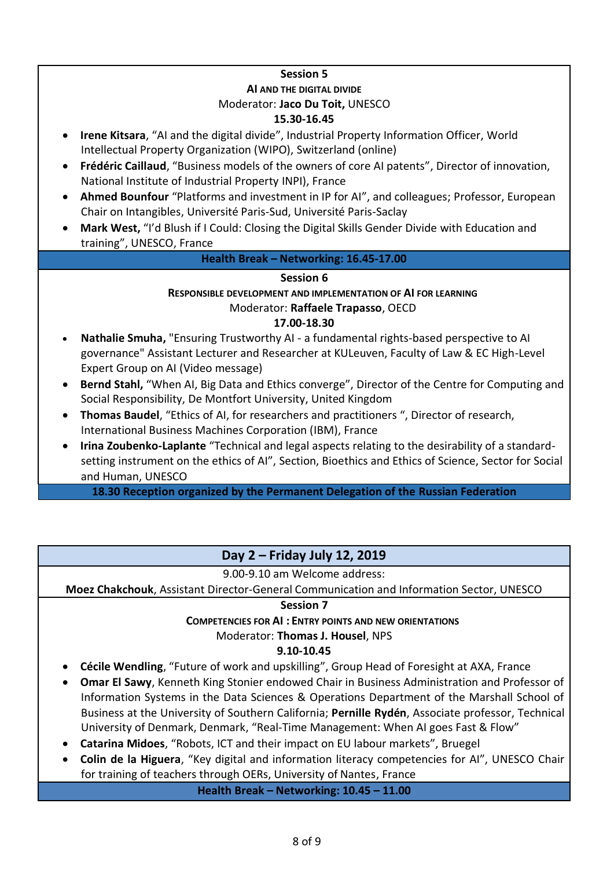# **Session 5**

## **AI AND THE DIGITAL DIVIDE**  Moderator: **Jaco Du Toit,** UNESCO **15.30-16.45**

- **Irene Kitsara**, "AI and the digital divide", Industrial Property Information Officer, World Intellectual Property Organization (WIPO), Switzerland (online)
- **Frédéric Caillaud**, "Business models of the owners of core AI patents", Director of innovation, National Institute of Industrial Property INPI), France
- **Ahmed Bounfour** "Platforms and investment in IP for AI", and colleagues; Professor, European Chair on Intangibles, Université Paris-Sud, Université Paris-Saclay
- **Mark West,** "I'd Blush if I Could: Closing the Digital Skills Gender Divide with Education and training", UNESCO, France

# **Health Break – Networking: 16.45-17.00**

### **Session 6**

# **RESPONSIBLE DEVELOPMENT AND IMPLEMENTATION OF AI FOR LEARNING** Moderator: **Raffaele Trapasso**, OECD

#### **17.00-18.30**

- **Nathalie Smuha,** "Ensuring Trustworthy AI a fundamental rights-based perspective to AI governance" Assistant Lecturer and Researcher at KULeuven, Faculty of Law & EC High-Level Expert Group on AI (Video message)
- **Bernd Stahl,** "When AI, Big Data and Ethics converge", Director of the Centre for Computing and Social Responsibility, De Montfort University, United Kingdom
- **Thomas Baudel**, "Ethics of AI, for researchers and practitioners ", Director of research, International Business Machines Corporation (IBM), France
- **Irina Zoubenko-Laplante** "Technical and legal aspects relating to the desirability of a standardsetting instrument on the ethics of AI", Section, Bioethics and Ethics of Science, Sector for Social and Human, UNESCO

**18.30 Reception organized by the Permanent Delegation of the Russian Federation**

# **Day 2 – Friday July 12, 2019**

9.00-9.10 am Welcome address:

**Moez Chakchouk**, Assistant Director-General Communication and Information Sector, UNESCO

### **Session 7**

### **COMPETENCIES FOR AI : ENTRY POINTS AND NEW ORIENTATIONS**

### Moderator: **Thomas J. Housel**, NPS

# **9.10-10.45**

- **Cécile Wendling**, "Future of work and upskilling", Group Head of Foresight at AXA, France
- **Omar El Sawy**, Kenneth King Stonier endowed Chair in Business Administration and Professor of Information Systems in the Data Sciences & Operations Department of the Marshall School of Business at the University of Southern California; **Pernille Rydén**, Associate professor, Technical University of Denmark, Denmark, "Real-Time Management: When AI goes Fast & Flow"
- **Catarina Midoes**, "Robots, ICT and their impact on EU labour markets", Bruegel
- **Colin de la Higuera**, "Key digital and information literacy competencies for AI", UNESCO Chair for training of teachers through OERs, University of Nantes, France

**Health Break – Networking: 10.45 – 11.00**